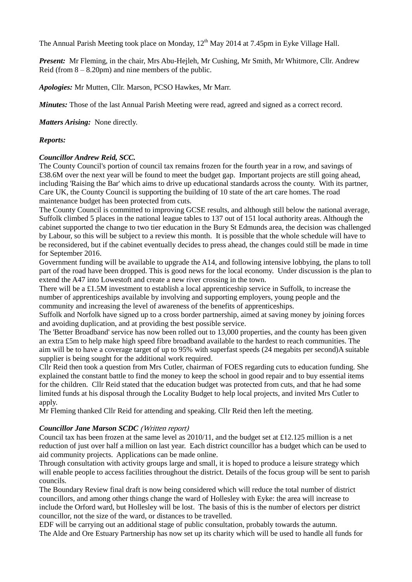The Annual Parish Meeting took place on Monday, 12<sup>th</sup> May 2014 at 7.45pm in Eyke Village Hall.

*Present:* Mr Fleming, in the chair, Mrs Abu-Hejleh, Mr Cushing, Mr Smith, Mr Whitmore, Cllr. Andrew Reid (from  $8 - 8.20$ pm) and nine members of the public.

*Apologies:* Mr Mutten, Cllr. Marson, PCSO Hawkes, Mr Marr.

*Minutes:* Those of the last Annual Parish Meeting were read, agreed and signed as a correct record.

*Matters Arising:* None directly.

## *Reports:*

### *Councillor Andrew Reid, SCC.*

The County Council's portion of council tax remains frozen for the fourth year in a row, and savings of £38.6M over the next year will be found to meet the budget gap. Important projects are still going ahead, including 'Raising the Bar' which aims to drive up educational standards across the county. With its partner, Care UK, the County Council is supporting the building of 10 state of the art care homes. The road maintenance budget has been protected from cuts.

The County Council is committed to improving GCSE results, and although still below the national average, Suffolk climbed 5 places in the national league tables to 137 out of 151 local authority areas. Although the cabinet supported the change to two tier education in the Bury St Edmunds area, the decision was challenged by Labour, so this will be subject to a review this month. It is possible that the whole schedule will have to be reconsidered, but if the cabinet eventually decides to press ahead, the changes could still be made in time for September 2016.

Government funding will be available to upgrade the A14, and following intensive lobbying, the plans to toll part of the road have been dropped. This is good news for the local economy. Under discussion is the plan to extend the A47 into Lowestoft and create a new river crossing in the town.

There will be a £1.5M investment to establish a local apprenticeship service in Suffolk, to increase the number of apprenticeships available by involving and supporting employers, young people and the community and increasing the level of awareness of the benefits of apprenticeships.

Suffolk and Norfolk have signed up to a cross border partnership, aimed at saving money by joining forces and avoiding duplication, and at providing the best possible service.

The 'Better Broadband' service has now been rolled out to 13,000 properties, and the county has been given an extra £5m to help make high speed fibre broadband available to the hardest to reach communities. The aim will be to have a coverage target of up to 95% with superfast speeds (24 megabits per second)A suitable supplier is being sought for the additional work required.

Cllr Reid then took a question from Mrs Cutler, chairman of FOES regarding cuts to education funding. She explained the constant battle to find the money to keep the school in good repair and to buy essential items for the children. Cllr Reid stated that the education budget was protected from cuts, and that he had some limited funds at his disposal through the Locality Budget to help local projects, and invited Mrs Cutler to apply.

Mr Fleming thanked Cllr Reid for attending and speaking. Cllr Reid then left the meeting.

### *Councillor Jane Marson SCDC* (Written report)

Council tax has been frozen at the same level as 2010/11, and the budget set at £12.125 million is a net reduction of just over half a million on last year. Each district councillor has a budget which can be used to aid community projects. Applications can be made online.

Through consultation with activity groups large and small, it is hoped to produce a leisure strategy which will enable people to access facilities throughout the district. Details of the focus group will be sent to parish councils.

The Boundary Review final draft is now being considered which will reduce the total number of district councillors, and among other things change the ward of Hollesley with Eyke: the area will increase to include the Orford ward, but Hollesley will be lost. The basis of this is the number of electors per district councillor, not the size of the ward, or distances to be travelled.

EDF will be carrying out an additional stage of public consultation, probably towards the autumn. The Alde and Ore Estuary Partnership has now set up its charity which will be used to handle all funds for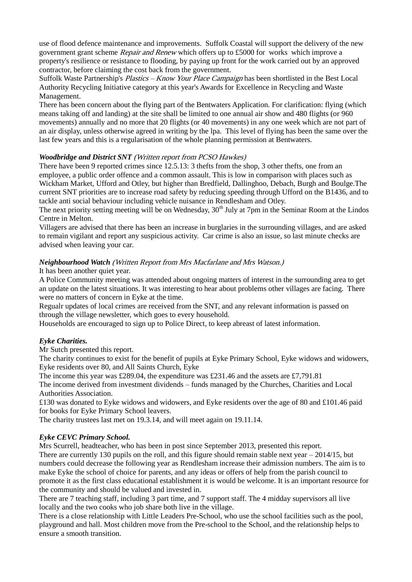use of flood defence maintenance and improvements. Suffolk Coastal will support the delivery of the new government grant scheme Repair and Renew which offers up to £5000 for works which improve a property's resilience or resistance to flooding, by paying up front for the work carried out by an approved contractor, before claiming the cost back from the government.

Suffolk Waste Partnership's Plastics – Know Your Place Campaign has been shortlisted in the Best Local Authority Recycling Initiative category at this year's Awards for Excellence in Recycling and Waste Management.

There has been concern about the flying part of the Bentwaters Application. For clarification: flying (which means taking off and landing) at the site shall be limited to one annual air show and 480 flights (or 960 movements) annually and no more that 20 flights (or 40 movements) in any one week which are not part of an air display, unless otherwise agreed in writing by the lpa. This level of flying has been the same over the last few years and this is a regularisation of the whole planning permission at Bentwaters.

# *Woodbridge and District SNT* (Written report from PCSO Hawkes)

There have been 9 reported crimes since 12.5.13: 3 thefts from the shop, 3 other thefts, one from an employee, a public order offence and a common assault. This is low in comparison with places such as Wickham Market, Ufford and Otley, but higher than Bredfield, Dallinghoo, Debach, Burgh and Boulge.The current SNT priorities are to increase road safety by reducing speeding through Ufford on the B1436, and to tackle anti social behaviour including vehicle nuisance in Rendlesham and Otley.

The next priority setting meeting will be on Wednesday,  $30<sup>th</sup>$  July at 7pm in the Seminar Room at the Lindos Centre in Melton.

Villagers are advised that there has been an increase in burglaries in the surrounding villages, and are asked to remain vigilant and report any suspicious activity. Car crime is also an issue, so last minute checks are advised when leaving your car.

# *Neighbourhood Watch* (Written Report from Mrs Macfarlane and Mrs Watson.)

It has been another quiet year.

A Police Community meeting was attended about ongoing matters of interest in the surrounding area to get an update on the latest situations. It was interesting to hear about problems other villages are facing. There were no matters of concern in Eyke at the time.

Regualr updates of local crimes are received from the SNT, and any relevant information is passed on through the village newsletter, which goes to every household.

Households are encouraged to sign up to Police Direct, to keep abreast of latest information.

# *Eyke Charities.*

Mr Sutch presented this report.

The charity continues to exist for the benefit of pupils at Eyke Primary School, Eyke widows and widowers, Eyke residents over 80, and All Saints Church, Eyke

The income this year was £289.04, the expenditure was £231.46 and the assets are £7,791.81

The income derived from investment dividends – funds managed by the Churches, Charities and Local Authorities Association.

£130 was donated to Eyke widows and widowers, and Eyke residents over the age of 80 and £101.46 paid for books for Eyke Primary School leavers.

The charity trustees last met on 19.3.14, and will meet again on 19.11.14.

# *Eyke CEVC Primary School.*

Mrs Scurrell, headteacher, who has been in post since September 2013, presented this report. There are currently 130 pupils on the roll, and this figure should remain stable next year – 2014/15, but numbers could decrease the following year as Rendlesham increase their admission numbers. The aim is to make Eyke the school of choice for parents, and any ideas or offers of help from the parish council to promote it as the first class educational establishment it is would be welcome. It is an important resource for the community and should be valued and invested in.

There are 7 teaching staff, including 3 part time, and 7 support staff. The 4 midday supervisors all live locally and the two cooks who job share both live in the village.

There is a close relationship with Little Leaders Pre-School, who use the school facilities such as the pool, playground and hall. Most children move from the Pre-school to the School, and the relationship helps to ensure a smooth transition.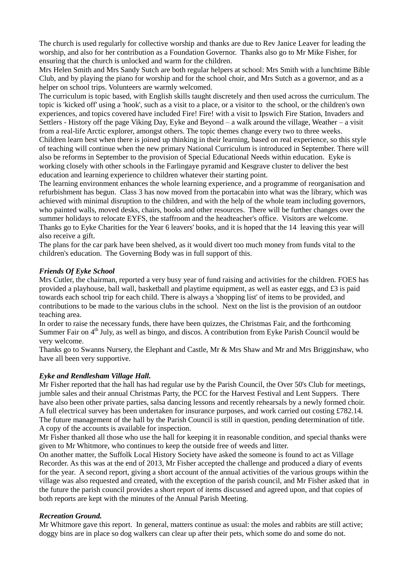The church is used regularly for collective worship and thanks are due to Rev Janice Leaver for leading the worship, and also for her contribution as a Foundation Governor. Thanks also go to Mr Mike Fisher, for ensuring that the church is unlocked and warm for the children.

Mrs Helen Smith and Mrs Sandy Sutch are both regular helpers at school: Mrs Smith with a lunchtime Bible Club, and by playing the piano for worship and for the school choir, and Mrs Sutch as a governor, and as a helper on school trips. Volunteers are warmly welcomed.

The curriculum is topic based, with English skills taught discretely and then used across the curriculum. The topic is 'kicked off' using a 'hook', such as a visit to a place, or a visitor to the school, or the children's own experiences, and topics covered have included Fire! Fire! with a visit to Ipswich Fire Station, Invaders and Settlers - History off the page Viking Day, Eyke and Beyond – a walk around the village, Weather – a visit from a real-life Arctic explorer, amongst others. The topic themes change every two to three weeks. Children learn best when there is joined up thinking in their learning, based on real experience, so this style of teaching will continue when the new primary National Curriculum is introduced in September. There will also be reforms in September to the provision of Special Educational Needs within education. Eyke is working closely with other schools in the Farlingaye pyramid and Kesgrave cluster to deliver the best education and learning experience to children whatever their starting point.

The learning environment enhances the whole learning experience, and a programme of reorganisation and refurbishment has begun. Class 3 has now moved from the portacabin into what was the library, which was achieved with minimal disruption to the children, and with the help of the whole team including governors, who painted walls, moved desks, chairs, books and other resources. There will be further changes over the summer holidays to relocate EYFS, the staffroom and the headteacher's office. Visitors are welcome. Thanks go to Eyke Charities for the Year 6 leavers' books, and it is hoped that the 14 leaving this year will also receive a gift.

The plans for the car park have been shelved, as it would divert too much money from funds vital to the children's education. The Governing Body was in full support of this.

### *Friends Of Eyke School*

Mrs Cutler, the chairman, reported a very busy year of fund raising and activities for the children. FOES has provided a playhouse, ball wall, basketball and playtime equipment, as well as easter eggs, and £3 is paid towards each school trip for each child. There is always a 'shopping list' of items to be provided, and contributions to be made to the various clubs in the school. Next on the list is the provision of an outdoor teaching area.

In order to raise the necessary funds, there have been quizzes, the Christmas Fair, and the forthcoming Summer Fair on 4<sup>th</sup> July, as well as bingo, and discos. A contribution from Eyke Parish Council would be very welcome.

Thanks go to Swanns Nursery, the Elephant and Castle, Mr & Mrs Shaw and Mr and Mrs Brigginshaw, who have all been very supportive.

#### *Eyke and Rendlesham Village Hall.*

Mr Fisher reported that the hall has had regular use by the Parish Council, the Over 50's Club for meetings, jumble sales and their annual Christmas Party, the PCC for the Harvest Festival and Lent Suppers. There have also been other private parties, salsa dancing lessons and recently rehearsals by a newly formed choir. A full electrical survey has been undertaken for insurance purposes, and work carried out costing £782.14. The future management of the hall by the Parish Council is still in question, pending determination of title. A copy of the accounts is available for inspection.

Mr Fisher thanked all those who use the hall for keeping it in reasonable condition, and special thanks were given to Mr Whitmore, who continues to keep the outside free of weeds and litter.

On another matter, the Suffolk Local History Society have asked the someone is found to act as Village Recorder. As this was at the end of 2013, Mr Fisher accepted the challenge and produced a diary of events for the year. A second report, giving a short account of the annual activities of the various groups within the village was also requested and created, with the exception of the parish council, and Mr Fisher asked that in the future the parish council provides a short report of items discussed and agreed upon, and that copies of both reports are kept with the minutes of the Annual Parish Meeting.

#### *Recreation Ground.*

Mr Whitmore gave this report. In general, matters continue as usual: the moles and rabbits are still active; doggy bins are in place so dog walkers can clear up after their pets, which some do and some do not.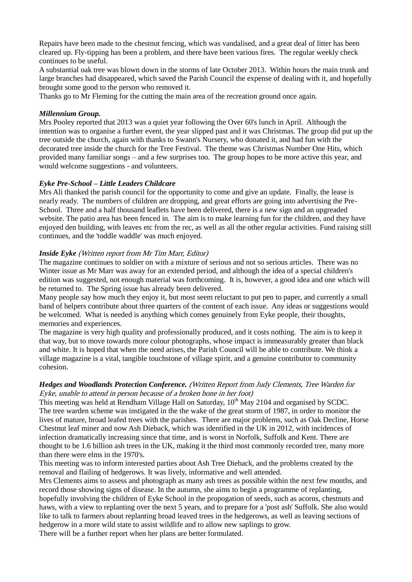Repairs have been made to the chestnut fencing, which was vandalised, and a great deal of litter has been cleared up. Fly-tipping has been a problem, and there have been various fires. The regular weekly check continues to be useful.

A substantial oak tree was blown down in the storms of late October 2013. Within hours the main trunk and large branches had disappeared, which saved the Parish Council the expense of dealing with it, and hopefully brought some good to the person who removed it.

Thanks go to Mr Fleming for the cutting the main area of the recreation ground once again.

### *Millennium Group.*

Mrs Pooley reported that 2013 was a quiet year following the Over 60's lunch in April. Although the intention was to organise a further event, the year slipped past and it was Christmas. The group did put up the tree outside the church, again with thanks to Swann's Nursery, who donated it, and had fun with the decorated tree inside the church for the Tree Festival. The theme was Christmas Number One Hits, which provided many familiar songs – and a few surprises too. The group hopes to be more active this year, and would welcome suggestions - and volunteers.

### *Eyke Pre-School – Little Leaders Childcare*

Mrs Ali thanked the parish council for the opportunity to come and give an update. Finally, the lease is nearly ready. The numbers of children are dropping, and great efforts are going into advertising the Pre-School. Three and a half thousand leaflets have been delivered, there is a new sign and an upgreaded website. The patio area has been fenced in. The aim is to make learning fun for the children, and they have enjoyed den building, with leaves etc from the rec, as well as all the other regular activities. Fund raising still continues, and the 'toddle waddle' was much enjoyed.

# *Inside Eyke* (Written report from Mr Tim Marr, Editor)

The magazine continues to soldier on with a mixture of serious and not so serious articles. There was no Winter issue as Mr Marr was away for an extended period, and although the idea of a special children's edition was suggested, not enough material was forthcoming. It is, however, a good idea and one which will be returned to. The Spring issue has already been delivered.

Many people say how much they enjoy it, but most seem reluctant to put pen to paper, and currently a small band of helpers contribute about three quarters of the content of each issue. Any ideas or suggestions would be welcomed. What is needed is anything which comes genuinely from Eyke people, their thoughts, memories and experiences.

The magazine is very high quality and professionally produced, and it costs nothing. The aim is to keep it that way, but to move towards more colour photographs, whose impact is immeasurably greater than black and white. It is hoped that when the need arises, the Parish Council will be able to contribute. We think a village magazine is a vital, tangible touchstone of village spirit, and a genuine contributor to community cohesion.

#### *Hedges and Woodlands Protection Conference.* (Written Report from Judy Clements, Tree Warden for Eyke, unable to attend in person because of a broken bone in her foot)

This meeting was held at Rendham Village Hall on Saturday,  $10^{th}$  May 2104 and organised by SCDC. The tree warden scheme was instigated in the the wake of the great storm of 1987, in order to monitor the lives of mature, broad leafed trees with the parishes. There are major problems, such as Oak Decline, Horse Chestnut leaf miner and now Ash Dieback, which was identified in the UK in 2012, with incidences of infection dramatically increasing since that time, and is worst in Norfolk, Suffolk and Kent. There are thought to be 1.6 billion ash trees in the UK, making it the third most commonly recorded tree, many more than there were elms in the 1970's.

This meeting was to inform interested parties about Ash Tree Dieback, and the problems created by the removal and flailing of hedgerows. It was lively, informative and well attended.

Mrs Clements aims to assess and photograph as many ash trees as possible within the next few months, and record those showing signs of disease. In the autumn, she aims to begin a programme of replanting, hopefully involving the children of Eyke School in the propogation of seeds, such as acorns, chestnuts and haws, with a view to replanting over the next 5 years, and to prepare for a 'post ash' Suffolk. She also would like to talk to farmers about replanting broad leaved trees in the hedgerows, as well as leaving sections of hedgerow in a more wild state to assist wildlife and to allow new saplings to grow.

There will be a further report when her plans are better formulated.